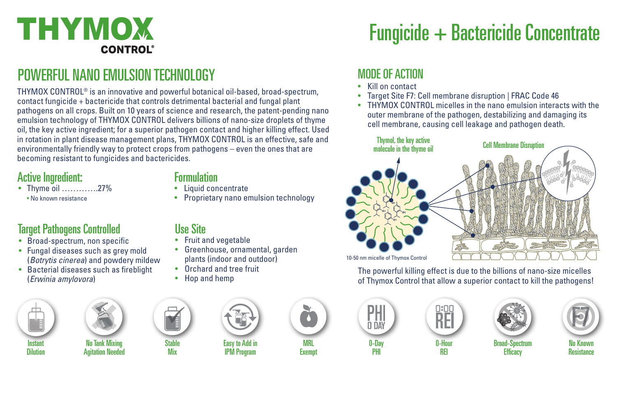

# POWERFUL NANO EMULSION TECHNOLOGY

THYMOX CONTROL® is an innovative and powerful botanical oil-based, broad-spectrum, contact fungicide + bactericide that controls detrimental bacterial and fungal plant pathogens on all crops. Built on 10 years of science and research, the patent-pending nano emulsion technology of THYMOX CONTROL delivers billions of nano-size droplets of thyme oil, the key active ingredient; for a superior pathogen contact and higher killing effect. Used in rotation in plant disease management plans, THYMOX CONTROL is an effective, safe and environmentally friendly way to protect crops from pathogens – even the ones that are becoming resistant to fungicides and bactericides.

#### Active Ingredient:

• Thyme oil ………….27% • No known resistance

#### Formulation

Use Site

• Liquid concentrate

• Fruit and vegetable

• Proprietary nano emulsion technology

• Greenhouse, ornamental, garden plants (indoor and outdoor) • Orchard and tree fruit • Hop and hemp

### Target Pathogens Controlled

- Broad-spectrum, non specific
- Fungal diseases such as grey mold (*Botrytis cinerea*) and powdery mildew
- Bacterial diseases such as fireblight (*Erwinia amylovora*)





No Tank Mixing Agitation Needed

Stable

Mix



IPM Program

MRL **Exemp** 



#### MODE OF ACTION

- Kill on contact
- Target Site F7: Cell membrane disruption | FRAC Code 46
- THYMOX CONTROL micelles in the nano emulsion interacts with the outer membrane of the pathogen, destabilizing and damaging its cell membrane, causing cell leakage and pathogen death.



The powerful killing effect is due to the billions of nano-size micelles of Thymox Control that allow a superior contact to kill the pathogens!









Broad-Spectrum **Efficacy** 



0-Hour REI